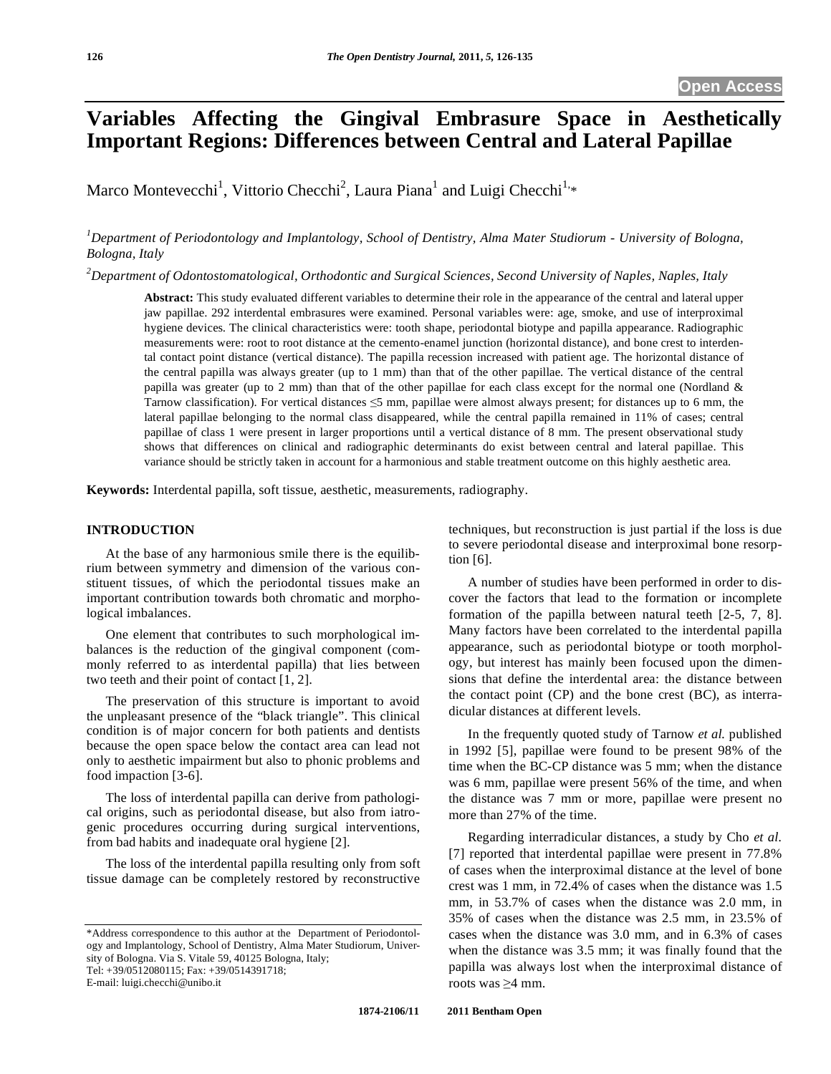# **Variables Affecting the Gingival Embrasure Space in Aesthetically Important Regions: Differences between Central and Lateral Papillae**

Marco Montevecchi<sup>1</sup>, Vittorio Checchi<sup>2</sup>, Laura Piana<sup>1</sup> and Luigi Checchi<sup>1,\*</sup>

<sup>1</sup> Department of Periodontology and Implantology, School of Dentistry, Alma Mater Studiorum - University of Bologna, *Bologna, Italy* 

*2 Department of Odontostomatological, Orthodontic and Surgical Sciences, Second University of Naples, Naples, Italy* 

**Abstract:** This study evaluated different variables to determine their role in the appearance of the central and lateral upper jaw papillae. 292 interdental embrasures were examined. Personal variables were: age, smoke, and use of interproximal hygiene devices. The clinical characteristics were: tooth shape, periodontal biotype and papilla appearance. Radiographic measurements were: root to root distance at the cemento-enamel junction (horizontal distance), and bone crest to interdental contact point distance (vertical distance). The papilla recession increased with patient age. The horizontal distance of the central papilla was always greater (up to 1 mm) than that of the other papillae. The vertical distance of the central papilla was greater (up to 2 mm) than that of the other papillae for each class except for the normal one (Nordland & Tarnow classification). For vertical distances  $\leq$ 5 mm, papillae were almost always present; for distances up to 6 mm, the lateral papillae belonging to the normal class disappeared, while the central papilla remained in 11% of cases; central papillae of class 1 were present in larger proportions until a vertical distance of 8 mm. The present observational study shows that differences on clinical and radiographic determinants do exist between central and lateral papillae. This variance should be strictly taken in account for a harmonious and stable treatment outcome on this highly aesthetic area.

**Keywords:** Interdental papilla, soft tissue, aesthetic, measurements, radiography.

# **INTRODUCTION**

At the base of any harmonious smile there is the equilibrium between symmetry and dimension of the various constituent tissues, of which the periodontal tissues make an important contribution towards both chromatic and morphological imbalances.

One element that contributes to such morphological imbalances is the reduction of the gingival component (commonly referred to as interdental papilla) that lies between two teeth and their point of contact [1, 2].

The preservation of this structure is important to avoid the unpleasant presence of the "black triangle". This clinical condition is of major concern for both patients and dentists because the open space below the contact area can lead not only to aesthetic impairment but also to phonic problems and food impaction [3-6].

The loss of interdental papilla can derive from pathological origins, such as periodontal disease, but also from iatrogenic procedures occurring during surgical interventions, from bad habits and inadequate oral hygiene [2].

The loss of the interdental papilla resulting only from soft tissue damage can be completely restored by reconstructive

Tel: +39/0512080115; Fax: +39/0514391718;

E-mail: luigi.checchi@unibo.it

techniques, but reconstruction is just partial if the loss is due to severe periodontal disease and interproximal bone resorption [6].

A number of studies have been performed in order to discover the factors that lead to the formation or incomplete formation of the papilla between natural teeth [2-5, 7, 8]. Many factors have been correlated to the interdental papilla appearance, such as periodontal biotype or tooth morphology, but interest has mainly been focused upon the dimensions that define the interdental area: the distance between the contact point (CP) and the bone crest (BC), as interradicular distances at different levels.

In the frequently quoted study of Tarnow *et al.* published in 1992 [5], papillae were found to be present 98% of the time when the BC-CP distance was 5 mm; when the distance was 6 mm, papillae were present 56% of the time, and when the distance was 7 mm or more, papillae were present no more than 27% of the time.

Regarding interradicular distances, a study by Cho *et al.* [7] reported that interdental papillae were present in 77.8% of cases when the interproximal distance at the level of bone crest was 1 mm, in 72.4% of cases when the distance was 1.5 mm, in 53.7% of cases when the distance was 2.0 mm, in 35% of cases when the distance was 2.5 mm, in 23.5% of cases when the distance was 3.0 mm, and in 6.3% of cases when the distance was 3.5 mm; it was finally found that the papilla was always lost when the interproximal distance of roots was  $\geq 4$  mm.

<sup>\*</sup>Address correspondence to this author at the Department of Periodontology and Implantology, School of Dentistry, Alma Mater Studiorum, University of Bologna. Via S. Vitale 59, 40125 Bologna, Italy;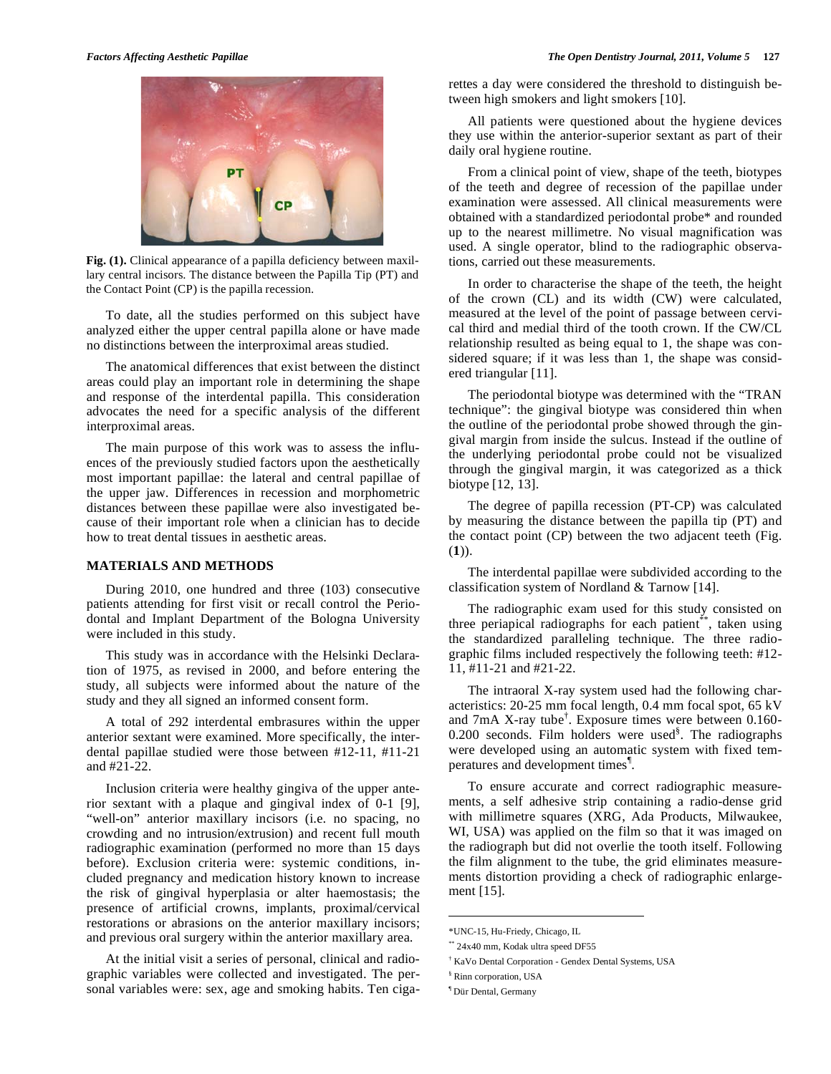

Fig. (1). Clinical appearance of a papilla deficiency between maxillary central incisors. The distance between the Papilla Tip (PT) and the Contact Point (CP) is the papilla recession.

To date, all the studies performed on this subject have analyzed either the upper central papilla alone or have made no distinctions between the interproximal areas studied.

The anatomical differences that exist between the distinct areas could play an important role in determining the shape and response of the interdental papilla. This consideration advocates the need for a specific analysis of the different interproximal areas.

The main purpose of this work was to assess the influences of the previously studied factors upon the aesthetically most important papillae: the lateral and central papillae of the upper jaw. Differences in recession and morphometric distances between these papillae were also investigated because of their important role when a clinician has to decide how to treat dental tissues in aesthetic areas.

# **MATERIALS AND METHODS**

During 2010, one hundred and three (103) consecutive patients attending for first visit or recall control the Periodontal and Implant Department of the Bologna University were included in this study.

This study was in accordance with the Helsinki Declaration of 1975, as revised in 2000, and before entering the study, all subjects were informed about the nature of the study and they all signed an informed consent form.

A total of 292 interdental embrasures within the upper anterior sextant were examined. More specifically, the interdental papillae studied were those between #12-11, #11-21 and #21-22.

Inclusion criteria were healthy gingiva of the upper anterior sextant with a plaque and gingival index of 0-1 [9], "well-on" anterior maxillary incisors (i.e. no spacing, no crowding and no intrusion/extrusion) and recent full mouth radiographic examination (performed no more than 15 days before). Exclusion criteria were: systemic conditions, included pregnancy and medication history known to increase the risk of gingival hyperplasia or alter haemostasis; the presence of artificial crowns, implants, proximal/cervical restorations or abrasions on the anterior maxillary incisors; and previous oral surgery within the anterior maxillary area.

At the initial visit a series of personal, clinical and radiographic variables were collected and investigated. The personal variables were: sex, age and smoking habits. Ten cigarettes a day were considered the threshold to distinguish between high smokers and light smokers [10].

All patients were questioned about the hygiene devices they use within the anterior-superior sextant as part of their daily oral hygiene routine.

From a clinical point of view, shape of the teeth, biotypes of the teeth and degree of recession of the papillae under examination were assessed. All clinical measurements were obtained with a standardized periodontal probe\* and rounded up to the nearest millimetre. No visual magnification was used. A single operator, blind to the radiographic observations, carried out these measurements.

In order to characterise the shape of the teeth, the height of the crown (CL) and its width (CW) were calculated, measured at the level of the point of passage between cervical third and medial third of the tooth crown. If the CW/CL relationship resulted as being equal to 1, the shape was considered square; if it was less than 1, the shape was considered triangular [11].

The periodontal biotype was determined with the "TRAN technique": the gingival biotype was considered thin when the outline of the periodontal probe showed through the gingival margin from inside the sulcus. Instead if the outline of the underlying periodontal probe could not be visualized through the gingival margin, it was categorized as a thick biotype [12, 13].

The degree of papilla recession (PT-CP) was calculated by measuring the distance between the papilla tip (PT) and the contact point (CP) between the two adjacent teeth (Fig. (**1**)).

The interdental papillae were subdivided according to the classification system of Nordland & Tarnow [14].

The radiographic exam used for this study consisted on three periapical radiographs for each patient\*\*, taken using the standardized paralleling technique. The three radiographic films included respectively the following teeth: #12- 11, #11-21 and #21-22.

The intraoral X-ray system used had the following characteristics: 20-25 mm focal length, 0.4 mm focal spot, 65 kV and 7mA X-ray tube† . Exposure times were between 0.160- 0.200 seconds. Film holders were used<sup>§</sup>. The radiographs were developed using an automatic system with fixed temperatures and development times<sup>1</sup>.

To ensure accurate and correct radiographic measurements, a self adhesive strip containing a radio-dense grid with millimetre squares (XRG, Ada Products, Milwaukee, WI, USA) was applied on the film so that it was imaged on the radiograph but did not overlie the tooth itself. Following the film alignment to the tube, the grid eliminates measurements distortion providing a check of radiographic enlargement [15].

1

<sup>\*</sup>UNC-15, Hu-Friedy, Chicago, IL

<sup>\*\* 24</sup>x40 mm, Kodak ultra speed DF55

<sup>†</sup> KaVo Dental Corporation - Gendex Dental Systems, USA

<sup>§</sup> Rinn corporation, USA

<sup>¶</sup> Dür Dental, Germany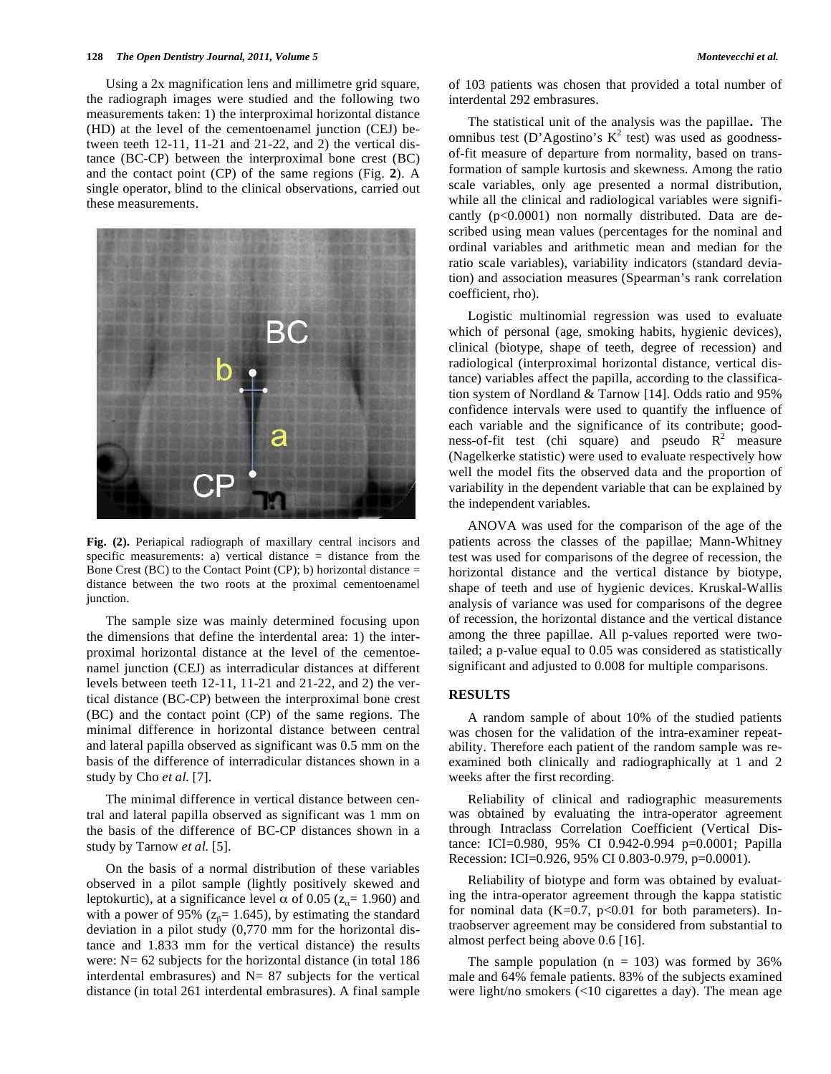Using a 2x magnification lens and millimetre grid square, the radiograph images were studied and the following two measurements taken: 1) the interproximal horizontal distance (HD) at the level of the cementoenamel junction (CEJ) between teeth 12-11, 11-21 and 21-22, and 2) the vertical distance (BC-CP) between the interproximal bone crest (BC) and the contact point (CP) of the same regions (Fig. **2**). A single operator, blind to the clinical observations, carried out these measurements.



**Fig. (2).** Periapical radiograph of maxillary central incisors and specific measurements: a) vertical distance  $=$  distance from the Bone Crest (BC) to the Contact Point (CP); b) horizontal distance  $=$ distance between the two roots at the proximal cementoenamel junction.

The sample size was mainly determined focusing upon the dimensions that define the interdental area: 1) the interproximal horizontal distance at the level of the cementoenamel junction (CEJ) as interradicular distances at different levels between teeth 12-11, 11-21 and 21-22, and 2) the vertical distance (BC-CP) between the interproximal bone crest (BC) and the contact point (CP) of the same regions. The minimal difference in horizontal distance between central and lateral papilla observed as significant was 0.5 mm on the basis of the difference of interradicular distances shown in a study by Cho *et al.* [7].

The minimal difference in vertical distance between central and lateral papilla observed as significant was 1 mm on the basis of the difference of BC-CP distances shown in a study by Tarnow *et al.* [5].

On the basis of a normal distribution of these variables observed in a pilot sample (lightly positively skewed and leptokurtic), at a significance level  $\alpha$  of 0.05 ( $z_{\alpha}$ = 1.960) and with a power of 95% ( $z_{\beta}$ = 1.645), by estimating the standard deviation in a pilot study (0,770 mm for the horizontal distance and 1.833 mm for the vertical distance) the results were: N= 62 subjects for the horizontal distance (in total 186 interdental embrasures) and  $N = 87$  subjects for the vertical distance (in total 261 interdental embrasures). A final sample

of 103 patients was chosen that provided a total number of interdental 292 embrasures.

The statistical unit of the analysis was the papillae. The omnibus test (D'Agostino's  $K^2$  test) was used as goodnessof-fit measure of departure from normality, based on transformation of sample kurtosis and skewness. Among the ratio scale variables, only age presented a normal distribution, while all the clinical and radiological variables were significantly (p<0.0001) non normally distributed. Data are described using mean values (percentages for the nominal and ordinal variables and arithmetic mean and median for the ratio scale variables), variability indicators (standard deviation) and association measures (Spearman's rank correlation coefficient, rho).

Logistic multinomial regression was used to evaluate which of personal (age, smoking habits, hygienic devices), clinical (biotype, shape of teeth, degree of recession) and radiological (interproximal horizontal distance, vertical distance) variables affect the papilla, according to the classification system of Nordland & Tarnow [14]. Odds ratio and 95% confidence intervals were used to quantify the influence of each variable and the significance of its contribute; goodness-of-fit test (chi square) and pseudo  $R^2$  measure (Nagelkerke statistic) were used to evaluate respectively how well the model fits the observed data and the proportion of variability in the dependent variable that can be explained by the independent variables.

ANOVA was used for the comparison of the age of the patients across the classes of the papillae; Mann-Whitney test was used for comparisons of the degree of recession, the horizontal distance and the vertical distance by biotype, shape of teeth and use of hygienic devices. Kruskal-Wallis analysis of variance was used for comparisons of the degree of recession, the horizontal distance and the vertical distance among the three papillae. All p-values reported were twotailed; a p-value equal to 0.05 was considered as statistically significant and adjusted to 0.008 for multiple comparisons.

#### **RESULTS**

A random sample of about 10% of the studied patients was chosen for the validation of the intra-examiner repeatability. Therefore each patient of the random sample was reexamined both clinically and radiographically at 1 and 2 weeks after the first recording.

Reliability of clinical and radiographic measurements was obtained by evaluating the intra-operator agreement through Intraclass Correlation Coefficient (Vertical Distance: ICI=0.980, 95% CI 0.942-0.994 p=0.0001; Papilla Recession: ICI=0.926, 95% CI 0.803-0.979, p=0.0001).

Reliability of biotype and form was obtained by evaluating the intra-operator agreement through the kappa statistic for nominal data (K=0.7, p<0.01 for both parameters). Intraobserver agreement may be considered from substantial to almost perfect being above 0.6 [16].

The sample population  $(n = 103)$  was formed by 36% male and 64% female patients. 83% of the subjects examined were light/no smokers (<10 cigarettes a day). The mean age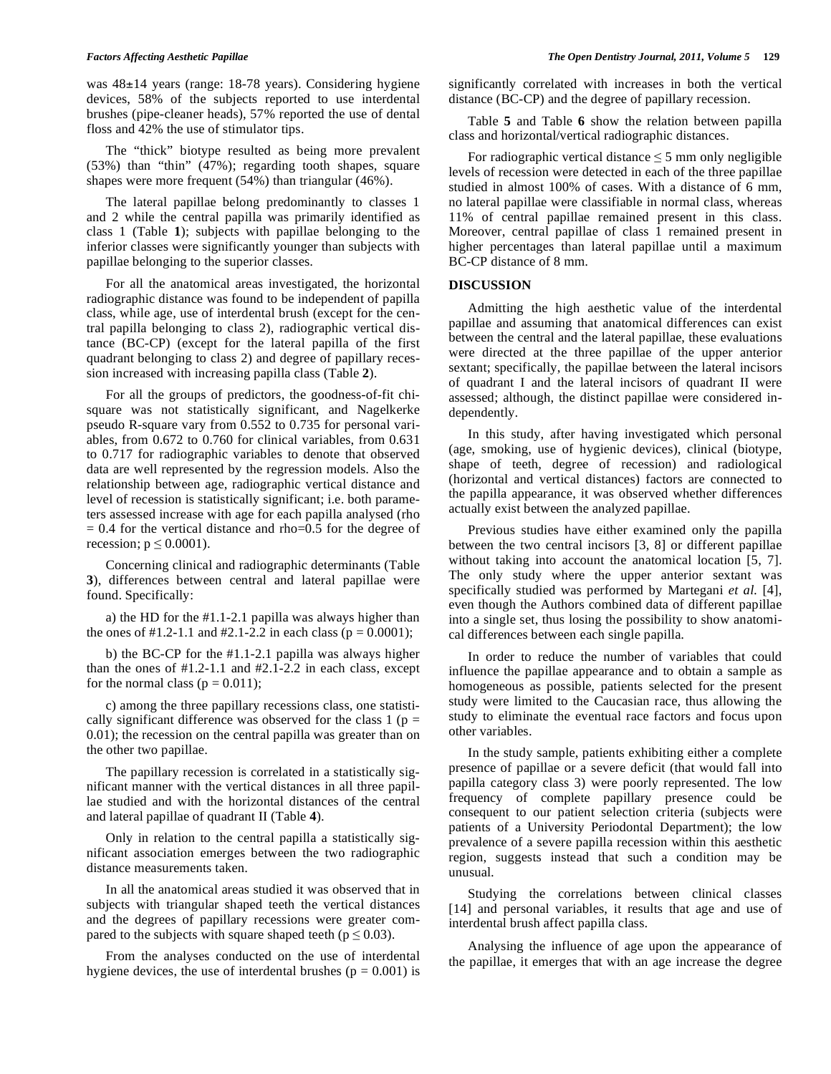was 48±14 years (range: 18-78 years). Considering hygiene devices, 58% of the subjects reported to use interdental brushes (pipe-cleaner heads), 57% reported the use of dental floss and 42% the use of stimulator tips.

The "thick" biotype resulted as being more prevalent (53%) than "thin" (47%); regarding tooth shapes, square shapes were more frequent (54%) than triangular (46%).

The lateral papillae belong predominantly to classes 1 and 2 while the central papilla was primarily identified as class 1 (Table **1**); subjects with papillae belonging to the inferior classes were significantly younger than subjects with papillae belonging to the superior classes.

For all the anatomical areas investigated, the horizontal radiographic distance was found to be independent of papilla class, while age, use of interdental brush (except for the central papilla belonging to class 2), radiographic vertical distance (BC-CP) (except for the lateral papilla of the first quadrant belonging to class 2) and degree of papillary recession increased with increasing papilla class (Table **2**).

For all the groups of predictors, the goodness-of-fit chisquare was not statistically significant, and Nagelkerke pseudo R-square vary from 0.552 to 0.735 for personal variables, from 0.672 to 0.760 for clinical variables, from 0.631 to 0.717 for radiographic variables to denote that observed data are well represented by the regression models. Also the relationship between age, radiographic vertical distance and level of recession is statistically significant; i.e. both parameters assessed increase with age for each papilla analysed (rho  $= 0.4$  for the vertical distance and rho=0.5 for the degree of recession;  $p \leq 0.0001$ ).

Concerning clinical and radiographic determinants (Table **3**), differences between central and lateral papillae were found. Specifically:

a) the HD for the #1.1-2.1 papilla was always higher than the ones of  $\#1.2-1.1$  and  $\#2.1-2.2$  in each class ( $p = 0.0001$ );

b) the BC-CP for the #1.1-2.1 papilla was always higher than the ones of  $#1.2-1.1$  and  $#2.1-2.2$  in each class, except for the normal class ( $p = 0.011$ );

c) among the three papillary recessions class, one statistically significant difference was observed for the class  $1$  ( $p =$ 0.01); the recession on the central papilla was greater than on the other two papillae.

The papillary recession is correlated in a statistically significant manner with the vertical distances in all three papillae studied and with the horizontal distances of the central and lateral papillae of quadrant II (Table **4**).

Only in relation to the central papilla a statistically significant association emerges between the two radiographic distance measurements taken.

In all the anatomical areas studied it was observed that in subjects with triangular shaped teeth the vertical distances and the degrees of papillary recessions were greater compared to the subjects with square shaped teeth ( $p \le 0.03$ ).

From the analyses conducted on the use of interdental hygiene devices, the use of interdental brushes ( $p = 0.001$ ) is significantly correlated with increases in both the vertical distance (BC-CP) and the degree of papillary recession.

Table **5** and Table **6** show the relation between papilla class and horizontal/vertical radiographic distances.

For radiographic vertical distance  $\leq$  5 mm only negligible levels of recession were detected in each of the three papillae studied in almost 100% of cases. With a distance of 6 mm, no lateral papillae were classifiable in normal class, whereas 11% of central papillae remained present in this class. Moreover, central papillae of class 1 remained present in higher percentages than lateral papillae until a maximum BC-CP distance of 8 mm.

#### **DISCUSSION**

Admitting the high aesthetic value of the interdental papillae and assuming that anatomical differences can exist between the central and the lateral papillae, these evaluations were directed at the three papillae of the upper anterior sextant; specifically, the papillae between the lateral incisors of quadrant I and the lateral incisors of quadrant II were assessed; although, the distinct papillae were considered independently.

In this study, after having investigated which personal (age, smoking, use of hygienic devices), clinical (biotype, shape of teeth, degree of recession) and radiological (horizontal and vertical distances) factors are connected to the papilla appearance, it was observed whether differences actually exist between the analyzed papillae.

Previous studies have either examined only the papilla between the two central incisors [3, 8] or different papillae without taking into account the anatomical location [5, 7]. The only study where the upper anterior sextant was specifically studied was performed by Martegani *et al.* [4], even though the Authors combined data of different papillae into a single set, thus losing the possibility to show anatomical differences between each single papilla.

In order to reduce the number of variables that could influence the papillae appearance and to obtain a sample as homogeneous as possible, patients selected for the present study were limited to the Caucasian race, thus allowing the study to eliminate the eventual race factors and focus upon other variables.

In the study sample, patients exhibiting either a complete presence of papillae or a severe deficit (that would fall into papilla category class 3) were poorly represented. The low frequency of complete papillary presence could be consequent to our patient selection criteria (subjects were patients of a University Periodontal Department); the low prevalence of a severe papilla recession within this aesthetic region, suggests instead that such a condition may be unusual.

Studying the correlations between clinical classes [14] and personal variables, it results that age and use of interdental brush affect papilla class.

 Analysing the influence of age upon the appearance of the papillae, it emerges that with an age increase the degree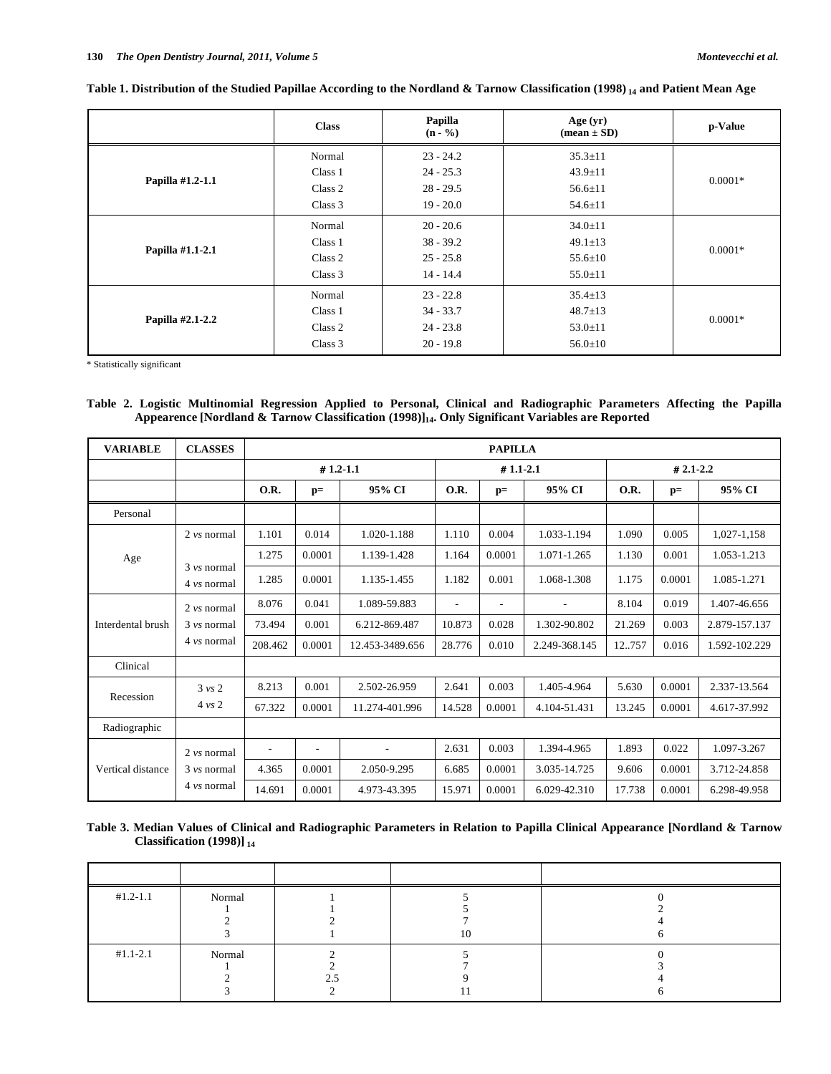|                  | <b>Class</b> | Papilla<br>$(n - \frac{9}{6})$ | Age $(yr)$<br>$mean \pm SD$ | p-Value   |  |
|------------------|--------------|--------------------------------|-----------------------------|-----------|--|
|                  | Normal       | $23 - 24.2$                    | $35.3 \pm 11$               |           |  |
|                  | Class 1      | $24 - 25.3$                    | $43.9 \pm 11$               | $0.0001*$ |  |
| Papilla #1.2-1.1 | Class 2      | $28 - 29.5$                    | $56.6 \pm 11$               |           |  |
|                  | Class 3      | $19 - 20.0$                    | $54.6 \pm 11$               |           |  |
|                  | Normal       | $20 - 20.6$                    | $34.0 \pm 11$               |           |  |
|                  | Class 1      | $38 - 39.2$                    | $49.1 \pm 13$               | $0.0001*$ |  |
| Papilla #1.1-2.1 | Class 2      | $25 - 25.8$                    | $55.6 \pm 10$               |           |  |
|                  | Class 3      | $14 - 14.4$                    | $55.0 \pm 11$               |           |  |
|                  | Normal       | $23 - 22.8$                    | $35.4 \pm 13$               |           |  |
|                  | Class 1      | $34 - 33.7$                    | $48.7 \pm 13$               |           |  |
| Papilla #2.1-2.2 | Class 2      | $24 - 23.8$                    | $53.0 \pm 11$               | $0.0001*$ |  |
|                  | Class 3      | $20 - 19.8$                    | $56.0 \pm 10$               |           |  |

**Table 1. Distribution of the Studied Papillae According to the Nordland & Tarnow Classification (1998) 14 and Patient Mean Age** 

\* Statistically significant

# **Table 2. Logistic Multinomial Regression Applied to Personal, Clinical and Radiographic Parameters Affecting the Papilla**  Appearence [Nordland & Tarnow Classification (1998)]<sub>14</sub>. Only Significant Variables are Reported

| <b>VARIABLE</b>   | <b>CLASSES</b>                    |                          |                          |                 |                          | <b>PAPILLA</b>           |               |        |               |               |
|-------------------|-----------------------------------|--------------------------|--------------------------|-----------------|--------------------------|--------------------------|---------------|--------|---------------|---------------|
|                   |                                   |                          | $# 1.2 - 1.1$            |                 |                          | $#1.1 - 2.1$             |               |        | $# 2.1 - 2.2$ |               |
|                   |                                   | O.R.                     | $p=$                     | 95% CI          | O.R.                     | $p=$                     | 95% CI        | O.R.   | $p=$          | 95% CI        |
| Personal          |                                   |                          |                          |                 |                          |                          |               |        |               |               |
|                   | $2 \text{ vs normal}$             | 1.101                    | 0.014                    | 1.020-1.188     | 1.110                    | 0.004                    | 1.033-1.194   | 1.090  | 0.005         | 1,027-1,158   |
| Age               |                                   | 1.275                    | 0.0001                   | 1.139-1.428     | 1.164                    | 0.0001                   | 1.071-1.265   | 1.130  | 0.001         | 1.053-1.213   |
|                   | 3 vs normal<br>4 <i>vs</i> normal | 1.285                    | 0.0001                   | 1.135-1.455     | 1.182                    | 0.001                    | 1.068-1.308   | 1.175  | 0.0001        | 1.085-1.271   |
|                   | 2 vs normal                       | 8.076                    | 0.041                    | 1.089-59.883    | $\overline{\phantom{a}}$ | $\overline{\phantom{a}}$ |               | 8.104  | 0.019         | 1.407-46.656  |
| Interdental brush | 3 vs normal                       | 73.494                   | 0.001                    | 6.212-869.487   | 10.873                   | 0.028                    | 1.302-90.802  | 21.269 | 0.003         | 2.879-157.137 |
|                   | 4 <i>vs</i> normal                | 208.462                  | 0.0001                   | 12.453-3489.656 | 28.776                   | 0.010                    | 2.249-368.145 | 12.757 | 0.016         | 1.592-102.229 |
| Clinical          |                                   |                          |                          |                 |                          |                          |               |        |               |               |
| Recession         | $3 \text{ vs } 2$                 | 8.213                    | 0.001                    | 2.502-26.959    | 2.641                    | 0.003                    | 1.405-4.964   | 5.630  | 0.0001        | 2.337-13.564  |
|                   | $4 \text{ vs } 2$                 | 67.322                   | 0.0001                   | 11.274-401.996  | 14.528                   | 0.0001                   | 4.104-51.431  | 13.245 | 0.0001        | 4.617-37.992  |
| Radiographic      |                                   |                          |                          |                 |                          |                          |               |        |               |               |
|                   | $2 \text{ vs normal}$             | $\overline{\phantom{0}}$ | $\overline{\phantom{a}}$ |                 | 2.631                    | 0.003                    | 1.394-4.965   | 1.893  | 0.022         | 1.097-3.267   |
| Vertical distance | $3 v s$ normal                    | 4.365                    | 0.0001                   | 2.050-9.295     | 6.685                    | 0.0001                   | 3.035-14.725  | 9.606  | 0.0001        | 3.712-24.858  |
|                   | 4 <i>vs</i> normal                | 14.691                   | 0.0001                   | 4.973-43.395    | 15.971                   | 0.0001                   | 6.029-42.310  | 17.738 | 0.0001        | 6.298-49.958  |

# **Table 3. Median Values of Clinical and Radiographic Parameters in Relation to Papilla Clinical Appearance [Nordland & Tarnow Classification (1998)] 14**

| $#1.2 - 1.1$ | Normal |     | ΙU |  |
|--------------|--------|-----|----|--|
| $#1.1 - 2.1$ | Normal | 2.5 |    |  |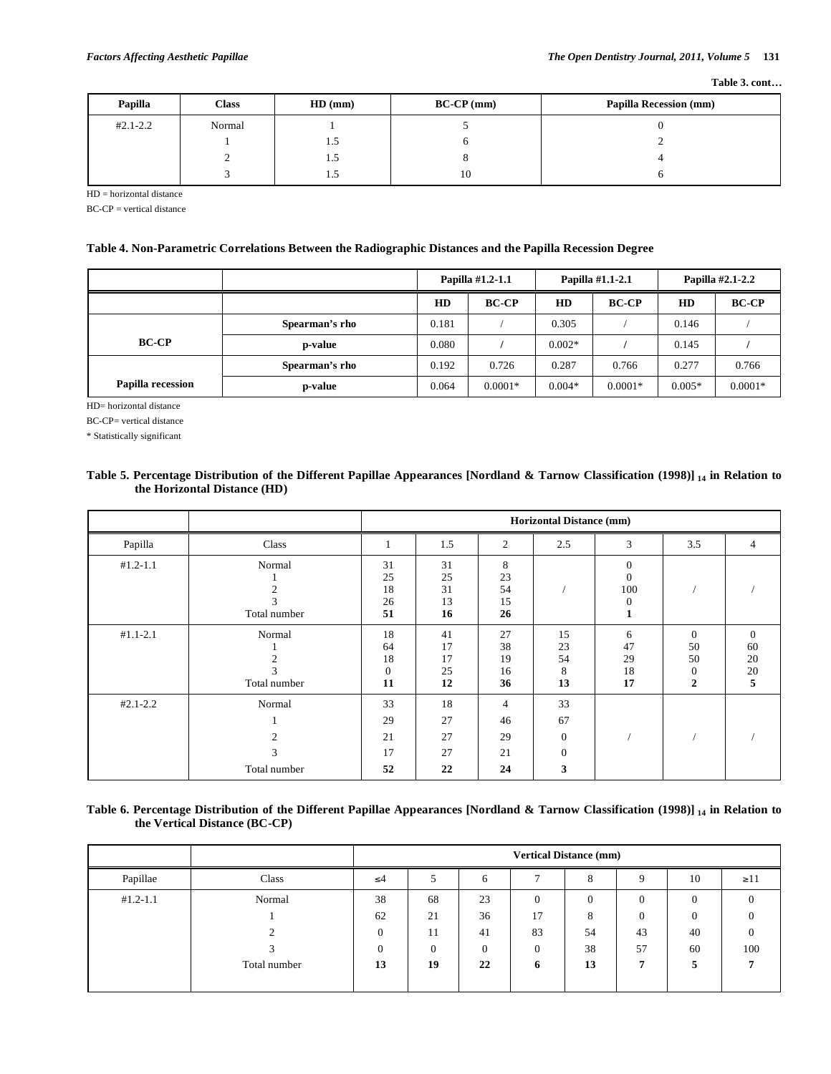#### **Table 3. cont…**

| Papilla      | <b>Class</b> | $HD$ (mm) | $BC-CP$ (mm) | <b>Papilla Recession (mm)</b> |
|--------------|--------------|-----------|--------------|-------------------------------|
| $#2.1 - 2.2$ | Normal       |           |              |                               |
|              |              | 1.5       |              |                               |
|              |              | L.)       |              |                               |
|              |              | L.J       | 10           |                               |

HD = horizontal distance

BC-CP = vertical distance

# **Table 4. Non-Parametric Correlations Between the Radiographic Distances and the Papilla Recession Degree**

|                   |                |                    | Papilla #1.2-1.1 |           | Papilla #1.1-2.1 | Papilla #2.1-2.2 |              |
|-------------------|----------------|--------------------|------------------|-----------|------------------|------------------|--------------|
|                   |                | <b>BC-CP</b><br>HD |                  | <b>HD</b> | <b>BC-CP</b>     | <b>HD</b>        | <b>BC-CP</b> |
|                   | Spearman's rho | 0.181              |                  | 0.305     |                  | 0.146            |              |
| <b>BC-CP</b>      | p-value        | 0.080              |                  | $0.002*$  |                  | 0.145            |              |
|                   | Spearman's rho | 0.192              | 0.726            | 0.287     | 0.766            | 0.277            | 0.766        |
| Papilla recession | p-value        | 0.064              | $0.0001*$        | $0.004*$  | $0.0001*$        | $0.005*$         | $0.0001*$    |

HD= horizontal distance

BC-CP= vertical distance

\* Statistically significant

# **Table 5. Percentage Distribution of the Different Papillae Appearances [Nordland & Tarnow Classification (1998)] 14 in Relation to the Horizontal Distance (HD)**

|              |                                  | <b>Horizontal Distance (mm)</b>  |                            |                            |                                       |                             |                                                  |                                 |  |  |  |  |
|--------------|----------------------------------|----------------------------------|----------------------------|----------------------------|---------------------------------------|-----------------------------|--------------------------------------------------|---------------------------------|--|--|--|--|
| Papilla      | Class                            |                                  | 1.5                        | $\overline{c}$             | 2.5                                   | 3                           | 3.5                                              | 4                               |  |  |  |  |
| $#1.2 - 1.1$ | Normal<br>J.<br>Total number     | 31<br>25<br>18<br>26<br>51       | 31<br>25<br>31<br>13<br>16 | 8<br>23<br>54<br>15<br>26  |                                       | $\Omega$<br>$\Omega$<br>100 |                                                  |                                 |  |  |  |  |
| $#1.1 - 2.1$ | Normal<br>3<br>Total number      | 18<br>64<br>18<br>$\theta$<br>11 | 41<br>17<br>17<br>25<br>12 | 27<br>38<br>19<br>16<br>36 | 15<br>23<br>54<br>8<br>13             | 6<br>47<br>29<br>18<br>17   | $\Omega$<br>50<br>50<br>$\theta$<br>$\mathbf{2}$ | $\Omega$<br>60<br>20<br>20<br>5 |  |  |  |  |
| $#2.1 - 2.2$ | Normal<br>◠<br>3<br>Total number | 33<br>29<br>21<br>17<br>52       | 18<br>27<br>27<br>27<br>22 | 4<br>46<br>29<br>21<br>24  | 33<br>67<br>$\Omega$<br>$\Omega$<br>3 |                             |                                                  |                                 |  |  |  |  |

# **Table 6. Percentage Distribution of the Different Papillae Appearances [Nordland & Tarnow Classification (1998)] 14 in Relation to the Vertical Distance (BC-CP)**

|              |              | <b>Vertical Distance (mm)</b> |          |    |          |              |          |          |          |  |  |
|--------------|--------------|-------------------------------|----------|----|----------|--------------|----------|----------|----------|--|--|
| Papillae     | Class        | ≤4                            | ◡        | 6  | −        | 8            | Q        | 10       | $\geq$ 1 |  |  |
| $#1.2 - 1.1$ | Normal       | 38                            | 68       | 23 | $\Omega$ | $\mathbf{0}$ | $\Omega$ | $\theta$ |          |  |  |
|              |              | 62                            | 21       | 36 | 17       | 8            | $\Omega$ | $\Omega$ |          |  |  |
|              |              | $\Omega$                      | 11       | 41 | 83       | 54           | 43       | 40       |          |  |  |
|              |              |                               | $\Omega$ |    | $\Omega$ | 38           | 57       | 60       | 100      |  |  |
|              | Total number | 13                            | 19       | 22 | -6       | 13           | п        |          |          |  |  |
|              |              |                               |          |    |          |              |          |          |          |  |  |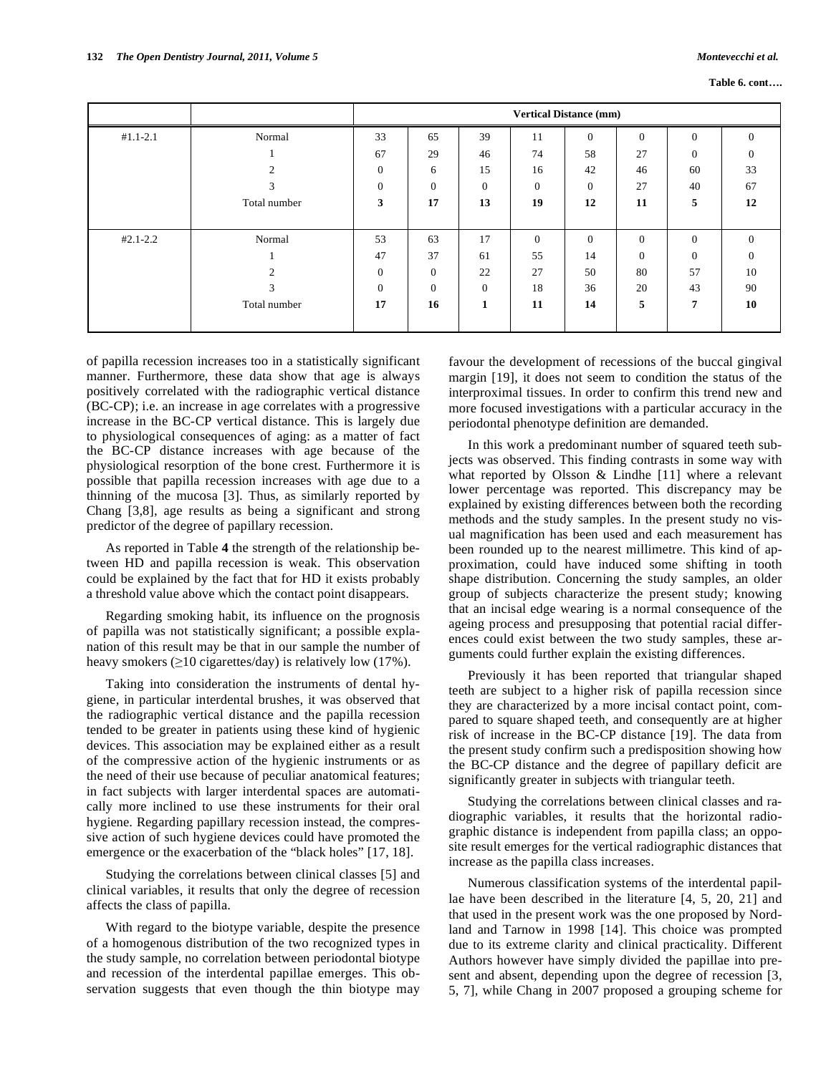|              |                             | <b>Vertical Distance (mm)</b> |              |              |              |                |              |          |              |  |  |  |
|--------------|-----------------------------|-------------------------------|--------------|--------------|--------------|----------------|--------------|----------|--------------|--|--|--|
| $#1.1 - 2.1$ | Normal                      | 33                            | 65           | 39           | 11           | $\overline{0}$ | $\mathbf{0}$ | $\theta$ | $\mathbf{0}$ |  |  |  |
|              |                             | 67                            | 29           | 46           | 74           | 58             | 27           | $\Omega$ | $\mathbf{0}$ |  |  |  |
|              | $\mathcal{D}$               | $\Omega$                      | 6            | 15           | 16           | 42             | 46           | 60       | 33           |  |  |  |
|              | 3                           | $\Omega$                      | $\mathbf{0}$ | $\theta$     | $\mathbf{0}$ | $\overline{0}$ | 27           | 40       | 67           |  |  |  |
|              | Total number                | 3                             | 17           | 13           | 19           | 12             | 11           | 5        | 12           |  |  |  |
|              |                             |                               |              |              |              |                |              |          |              |  |  |  |
| $#2.1 - 2.2$ | Normal                      | 53                            | 63           | 17           | $\Omega$     | $\Omega$       | $\Omega$     | $\Omega$ | $\Omega$     |  |  |  |
|              |                             | 47                            | 37           | 61           | 55           | 14             | $\mathbf{0}$ | $\theta$ | $\mathbf{0}$ |  |  |  |
|              | $\mathcal{D}_{\mathcal{L}}$ | $\Omega$                      | $\Omega$     | 22           | 27           | 50             | 80           | 57       | 10           |  |  |  |
|              | 3                           | $\Omega$                      | $\Omega$     | $\Omega$     | 18           | 36             | 20           | 43       | 90           |  |  |  |
|              | Total number                | 17                            | 16           | $\mathbf{1}$ | 11           | 14             | 5            | 7        | 10           |  |  |  |
|              |                             |                               |              |              |              |                |              |          |              |  |  |  |

of papilla recession increases too in a statistically significant manner. Furthermore, these data show that age is always positively correlated with the radiographic vertical distance (BC-CP); i.e. an increase in age correlates with a progressive increase in the BC-CP vertical distance. This is largely due to physiological consequences of aging: as a matter of fact the BC-CP distance increases with age because of the physiological resorption of the bone crest. Furthermore it is possible that papilla recession increases with age due to a thinning of the mucosa [3]. Thus, as similarly reported by Chang [3,8], age results as being a significant and strong predictor of the degree of papillary recession.

As reported in Table **4** the strength of the relationship between HD and papilla recession is weak. This observation could be explained by the fact that for HD it exists probably a threshold value above which the contact point disappears.

Regarding smoking habit, its influence on the prognosis of papilla was not statistically significant; a possible explanation of this result may be that in our sample the number of heavy smokers  $(\geq 10 \text{ eigenettes/day})$  is relatively low (17%).

Taking into consideration the instruments of dental hygiene, in particular interdental brushes, it was observed that the radiographic vertical distance and the papilla recession tended to be greater in patients using these kind of hygienic devices. This association may be explained either as a result of the compressive action of the hygienic instruments or as the need of their use because of peculiar anatomical features; in fact subjects with larger interdental spaces are automatically more inclined to use these instruments for their oral hygiene. Regarding papillary recession instead, the compressive action of such hygiene devices could have promoted the emergence or the exacerbation of the "black holes" [17, 18].

Studying the correlations between clinical classes [5] and clinical variables, it results that only the degree of recession affects the class of papilla.

With regard to the biotype variable, despite the presence of a homogenous distribution of the two recognized types in the study sample, no correlation between periodontal biotype and recession of the interdental papillae emerges. This observation suggests that even though the thin biotype may favour the development of recessions of the buccal gingival margin [19], it does not seem to condition the status of the interproximal tissues. In order to confirm this trend new and more focused investigations with a particular accuracy in the periodontal phenotype definition are demanded.

In this work a predominant number of squared teeth subjects was observed. This finding contrasts in some way with what reported by Olsson & Lindhe [11] where a relevant lower percentage was reported. This discrepancy may be explained by existing differences between both the recording methods and the study samples. In the present study no visual magnification has been used and each measurement has been rounded up to the nearest millimetre. This kind of approximation, could have induced some shifting in tooth shape distribution. Concerning the study samples, an older group of subjects characterize the present study; knowing that an incisal edge wearing is a normal consequence of the ageing process and presupposing that potential racial differences could exist between the two study samples, these arguments could further explain the existing differences.

Previously it has been reported that triangular shaped teeth are subject to a higher risk of papilla recession since they are characterized by a more incisal contact point, compared to square shaped teeth, and consequently are at higher risk of increase in the BC-CP distance [19]. The data from the present study confirm such a predisposition showing how the BC-CP distance and the degree of papillary deficit are significantly greater in subjects with triangular teeth.

Studying the correlations between clinical classes and radiographic variables, it results that the horizontal radiographic distance is independent from papilla class; an opposite result emerges for the vertical radiographic distances that increase as the papilla class increases.

Numerous classification systems of the interdental papillae have been described in the literature [4, 5, 20, 21] and that used in the present work was the one proposed by Nordland and Tarnow in 1998 [14]. This choice was prompted due to its extreme clarity and clinical practicality. Different Authors however have simply divided the papillae into present and absent, depending upon the degree of recession [3, 5, 7], while Chang in 2007 proposed a grouping scheme for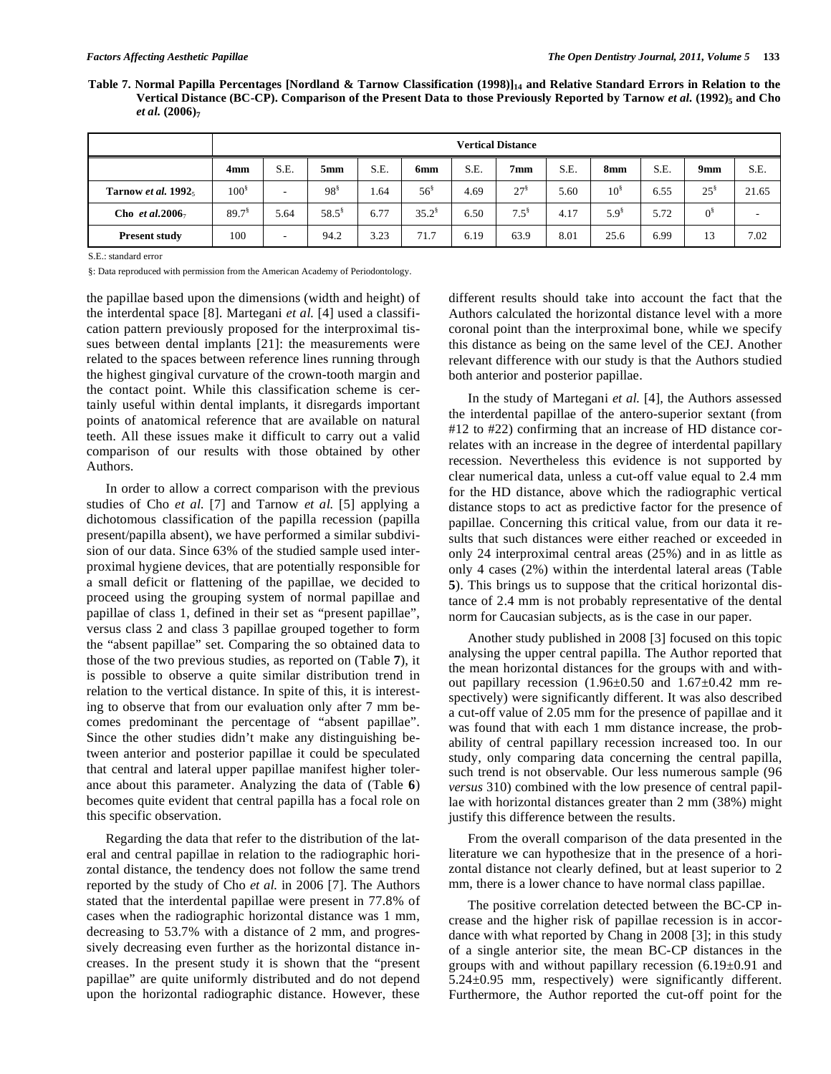Table 7. Normal Papilla Percentages [Nordland & Tarnow Classification (1998)]<sub>14</sub> and Relative Standard Errors in Relation to the Vertical Distance (BC-CP). Comparison of the Present Data to those Previously Reported by Tarnow *et al.* (1992)<sub>5</sub> and Cho *et al.* (2006)<sub>7</sub>

|                       |                      | <b>Vertical Distance</b> |                      |      |                 |      |                 |      |               |      |                 |       |  |
|-----------------------|----------------------|--------------------------|----------------------|------|-----------------|------|-----------------|------|---------------|------|-----------------|-------|--|
|                       | 4mm                  | S.E.                     | 5mm                  | S.E. | 6mm             | S.E. | 7 <sub>mm</sub> | S.E. | 8mm           | S.E. | 9 <sub>mm</sub> | S.E.  |  |
| Tarnow et al. $19925$ | 100 <sup>8</sup>     | $\overline{\phantom{a}}$ | $98^{\frac{8}{3}}$   | 1.64 | 56 <sup>8</sup> | 4.69 | 27 <sup>8</sup> | 5.60 | $10^{\circ}$  | 6.55 | $25^{\circ}$    | 21.65 |  |
| Cho et al. $20067$    | $89.7^{\frac{8}{3}}$ | 5.64                     | $58.5^{\frac{8}{3}}$ | 6.77 | $35.2^8$        | 6.50 | $7.5^{\circ}$   | 4.17 | $5.9^{\circ}$ | 5.72 | $0^{\rm s}$     | -     |  |
| <b>Present study</b>  | 100                  |                          | 94.2                 | 3.23 | 71.7            | 6.19 | 63.9            | 8.01 | 25.6          | 6.99 | 13              | 7.02  |  |

S.E.: standard error

§: Data reproduced with permission from the American Academy of Periodontology.

the papillae based upon the dimensions (width and height) of the interdental space [8]. Martegani *et al.* [4] used a classification pattern previously proposed for the interproximal tissues between dental implants [21]: the measurements were related to the spaces between reference lines running through the highest gingival curvature of the crown-tooth margin and the contact point. While this classification scheme is certainly useful within dental implants, it disregards important points of anatomical reference that are available on natural teeth. All these issues make it difficult to carry out a valid comparison of our results with those obtained by other Authors.

In order to allow a correct comparison with the previous studies of Cho *et al.* [7] and Tarnow *et al.* [5] applying a dichotomous classification of the papilla recession (papilla present/papilla absent), we have performed a similar subdivision of our data. Since 63% of the studied sample used interproximal hygiene devices, that are potentially responsible for a small deficit or flattening of the papillae, we decided to proceed using the grouping system of normal papillae and papillae of class 1, defined in their set as "present papillae", versus class 2 and class 3 papillae grouped together to form the "absent papillae" set. Comparing the so obtained data to those of the two previous studies, as reported on (Table **7**), it is possible to observe a quite similar distribution trend in relation to the vertical distance. In spite of this, it is interesting to observe that from our evaluation only after 7 mm becomes predominant the percentage of "absent papillae". Since the other studies didn't make any distinguishing between anterior and posterior papillae it could be speculated that central and lateral upper papillae manifest higher tolerance about this parameter. Analyzing the data of (Table **6**) becomes quite evident that central papilla has a focal role on this specific observation.

Regarding the data that refer to the distribution of the lateral and central papillae in relation to the radiographic horizontal distance, the tendency does not follow the same trend reported by the study of Cho *et al.* in 2006 [7]. The Authors stated that the interdental papillae were present in 77.8% of cases when the radiographic horizontal distance was 1 mm, decreasing to 53.7% with a distance of 2 mm, and progressively decreasing even further as the horizontal distance increases. In the present study it is shown that the "present papillae" are quite uniformly distributed and do not depend upon the horizontal radiographic distance. However, these different results should take into account the fact that the Authors calculated the horizontal distance level with a more coronal point than the interproximal bone, while we specify this distance as being on the same level of the CEJ. Another relevant difference with our study is that the Authors studied both anterior and posterior papillae.

In the study of Martegani *et al.* [4], the Authors assessed the interdental papillae of the antero-superior sextant (from #12 to #22) confirming that an increase of HD distance correlates with an increase in the degree of interdental papillary recession. Nevertheless this evidence is not supported by clear numerical data, unless a cut-off value equal to 2.4 mm for the HD distance, above which the radiographic vertical distance stops to act as predictive factor for the presence of papillae. Concerning this critical value, from our data it results that such distances were either reached or exceeded in only 24 interproximal central areas (25%) and in as little as only 4 cases (2%) within the interdental lateral areas (Table **5**). This brings us to suppose that the critical horizontal distance of 2.4 mm is not probably representative of the dental norm for Caucasian subjects, as is the case in our paper.

Another study published in 2008 [3] focused on this topic analysing the upper central papilla. The Author reported that the mean horizontal distances for the groups with and without papillary recession  $(1.96\pm0.50$  and  $1.67\pm0.42$  mm respectively) were significantly different. It was also described a cut-off value of 2.05 mm for the presence of papillae and it was found that with each 1 mm distance increase, the probability of central papillary recession increased too. In our study, only comparing data concerning the central papilla, such trend is not observable. Our less numerous sample (96 *versus* 310) combined with the low presence of central papillae with horizontal distances greater than 2 mm (38%) might justify this difference between the results.

From the overall comparison of the data presented in the literature we can hypothesize that in the presence of a horizontal distance not clearly defined, but at least superior to 2 mm, there is a lower chance to have normal class papillae.

The positive correlation detected between the BC-CP increase and the higher risk of papillae recession is in accordance with what reported by Chang in 2008 [3]; in this study of a single anterior site, the mean BC-CP distances in the groups with and without papillary recession (6.19±0.91 and 5.24±0.95 mm, respectively) were significantly different. Furthermore, the Author reported the cut-off point for the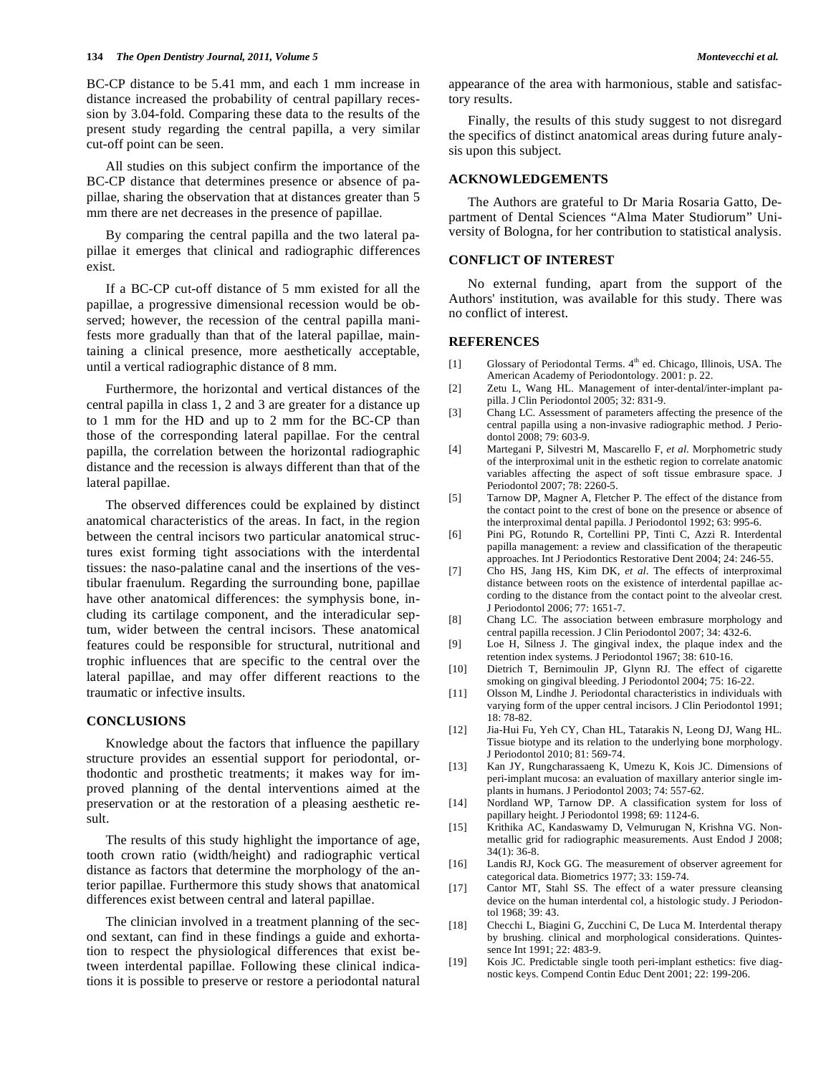#### **134** *The Open Dentistry Journal, 2011, Volume 5 Montevecchi et al.*

BC-CP distance to be 5.41 mm, and each 1 mm increase in distance increased the probability of central papillary recession by 3.04-fold. Comparing these data to the results of the present study regarding the central papilla, a very similar cut-off point can be seen.

All studies on this subject confirm the importance of the BC-CP distance that determines presence or absence of papillae, sharing the observation that at distances greater than 5 mm there are net decreases in the presence of papillae.

By comparing the central papilla and the two lateral papillae it emerges that clinical and radiographic differences exist.

If a BC-CP cut-off distance of 5 mm existed for all the papillae, a progressive dimensional recession would be observed; however, the recession of the central papilla manifests more gradually than that of the lateral papillae, maintaining a clinical presence, more aesthetically acceptable, until a vertical radiographic distance of 8 mm.

Furthermore, the horizontal and vertical distances of the central papilla in class 1, 2 and 3 are greater for a distance up to 1 mm for the HD and up to 2 mm for the BC-CP than those of the corresponding lateral papillae. For the central papilla, the correlation between the horizontal radiographic distance and the recession is always different than that of the lateral papillae.

The observed differences could be explained by distinct anatomical characteristics of the areas. In fact, in the region between the central incisors two particular anatomical structures exist forming tight associations with the interdental tissues: the naso-palatine canal and the insertions of the vestibular fraenulum. Regarding the surrounding bone, papillae have other anatomical differences: the symphysis bone, including its cartilage component, and the interadicular septum, wider between the central incisors. These anatomical features could be responsible for structural, nutritional and trophic influences that are specific to the central over the lateral papillae, and may offer different reactions to the traumatic or infective insults.

#### **CONCLUSIONS**

Knowledge about the factors that influence the papillary structure provides an essential support for periodontal, orthodontic and prosthetic treatments; it makes way for improved planning of the dental interventions aimed at the preservation or at the restoration of a pleasing aesthetic result.

The results of this study highlight the importance of age, tooth crown ratio (width/height) and radiographic vertical distance as factors that determine the morphology of the anterior papillae. Furthermore this study shows that anatomical differences exist between central and lateral papillae.

The clinician involved in a treatment planning of the second sextant, can find in these findings a guide and exhortation to respect the physiological differences that exist between interdental papillae. Following these clinical indications it is possible to preserve or restore a periodontal natural appearance of the area with harmonious, stable and satisfactory results.

Finally, the results of this study suggest to not disregard the specifics of distinct anatomical areas during future analysis upon this subject.

#### **ACKNOWLEDGEMENTS**

The Authors are grateful to Dr Maria Rosaria Gatto, Department of Dental Sciences "Alma Mater Studiorum" University of Bologna, for her contribution to statistical analysis.

#### **CONFLICT OF INTEREST**

No external funding, apart from the support of the Authors' institution, was available for this study. There was no conflict of interest.

# **REFERENCES**

- [1] Glossary of Periodontal Terms. 4<sup>th</sup> ed. Chicago, Illinois, USA. The American Academy of Periodontology. 2001: p. 22.
- [2] Zetu L, Wang HL. Management of inter-dental/inter-implant papilla. J Clin Periodontol 2005; 32: 831-9.
- [3] Chang LC. Assessment of parameters affecting the presence of the central papilla using a non-invasive radiographic method. J Periodontol 2008; 79: 603-9.
- [4] Martegani P, Silvestri M, Mascarello F, *et al*. Morphometric study of the interproximal unit in the esthetic region to correlate anatomic variables affecting the aspect of soft tissue embrasure space. J Periodontol 2007; 78: 2260-5.
- [5] Tarnow DP, Magner A, Fletcher P. The effect of the distance from the contact point to the crest of bone on the presence or absence of the interproximal dental papilla. J Periodontol 1992; 63: 995-6.
- [6] Pini PG, Rotundo R, Cortellini PP, Tinti C, Azzi R. Interdental papilla management: a review and classification of the therapeutic approaches. Int J Periodontics Restorative Dent 2004; 24: 246-55.
- [7] Cho HS, Jang HS, Kim DK, *et al*. The effects of interproximal distance between roots on the existence of interdental papillae according to the distance from the contact point to the alveolar crest. J Periodontol 2006; 77: 1651-7.
- [8] Chang LC. The association between embrasure morphology and central papilla recession. J Clin Periodontol 2007; 34: 432-6.
- [9] Loe H, Silness J. The gingival index, the plaque index and the retention index systems. J Periodontol 1967; 38: 610-16.
- [10] Dietrich T, Bernimoulin JP, Glynn RJ. The effect of cigarette smoking on gingival bleeding. J Periodontol 2004; 75: 16-22.
- [11] Olsson M, Lindhe J. Periodontal characteristics in individuals with varying form of the upper central incisors. J Clin Periodontol 1991; 18: 78-82.
- [12] Jia-Hui Fu, Yeh CY, Chan HL, Tatarakis N, Leong DJ, Wang HL. Tissue biotype and its relation to the underlying bone morphology. J Periodontol 2010; 81: 569-74.
- [13] Kan JY, Rungcharassaeng K, Umezu K, Kois JC. Dimensions of peri-implant mucosa: an evaluation of maxillary anterior single implants in humans. J Periodontol 2003; 74: 557-62.
- [14] Nordland WP, Tarnow DP. A classification system for loss of papillary height. J Periodontol 1998; 69: 1124-6.
- [15] Krithika AC, Kandaswamy D, Velmurugan N, Krishna VG. Nonmetallic grid for radiographic measurements. Aust Endod J 2008; 34(1): 36-8.
- [16] Landis RJ, Kock GG. The measurement of observer agreement for categorical data. Biometrics 1977; 33: 159-74.
- [17] Cantor MT, Stahl SS. The effect of a water pressure cleansing device on the human interdental col, a histologic study. J Periodontol 1968; 39: 43.
- [18] Checchi L, Biagini G, Zucchini C, De Luca M. Interdental therapy by brushing. clinical and morphological considerations. Quintessence Int 1991; 22: 483-9.
- [19] Kois JC. Predictable single tooth peri-implant esthetics: five diagnostic keys. Compend Contin Educ Dent 2001; 22: 199-206.